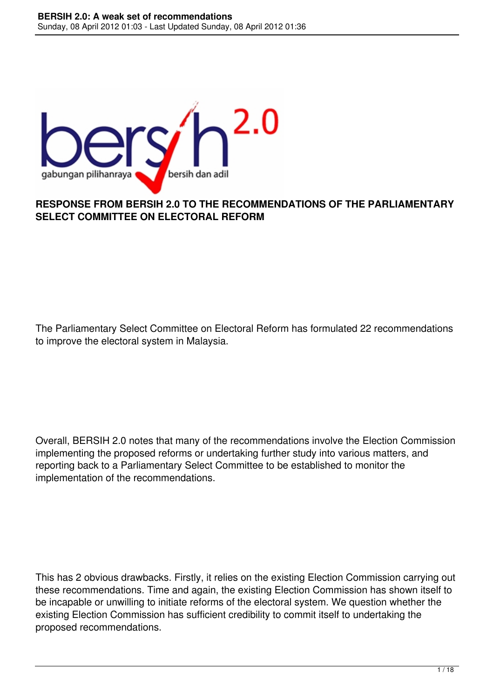

#### **RESPONSE FROM BERSIH 2.0 TO THE RECOMMENDATIONS OF THE PARLIAMENTARY SELECT COMMITTEE ON ELECTORAL REFORM**

The Parliamentary Select Committee on Electoral Reform has formulated 22 recommendations to improve the electoral system in Malaysia.

Overall, BERSIH 2.0 notes that many of the recommendations involve the Election Commission implementing the proposed reforms or undertaking further study into various matters, and reporting back to a Parliamentary Select Committee to be established to monitor the implementation of the recommendations.

This has 2 obvious drawbacks. Firstly, it relies on the existing Election Commission carrying out these recommendations. Time and again, the existing Election Commission has shown itself to be incapable or unwilling to initiate reforms of the electoral system. We question whether the existing Election Commission has sufficient credibility to commit itself to undertaking the proposed recommendations.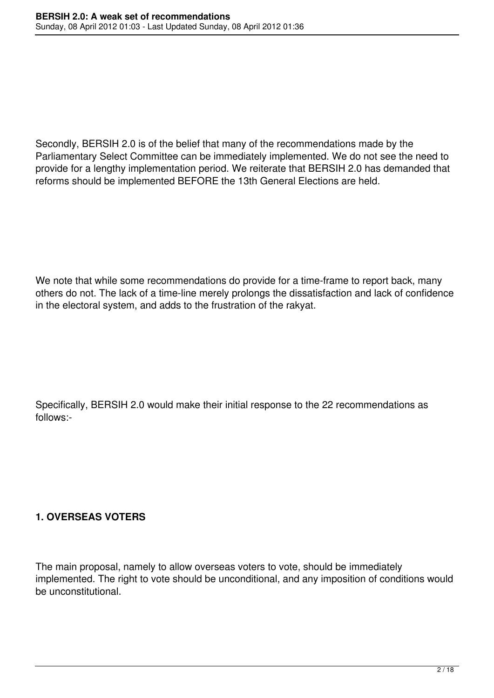Secondly, BERSIH 2.0 is of the belief that many of the recommendations made by the Parliamentary Select Committee can be immediately implemented. We do not see the need to provide for a lengthy implementation period. We reiterate that BERSIH 2.0 has demanded that reforms should be implemented BEFORE the 13th General Elections are held.

We note that while some recommendations do provide for a time-frame to report back, many others do not. The lack of a time-line merely prolongs the dissatisfaction and lack of confidence in the electoral system, and adds to the frustration of the rakyat.

Specifically, BERSIH 2.0 would make their initial response to the 22 recommendations as follows:-

#### **1. OVERSEAS VOTERS**

The main proposal, namely to allow overseas voters to vote, should be immediately implemented. The right to vote should be unconditional, and any imposition of conditions would be unconstitutional.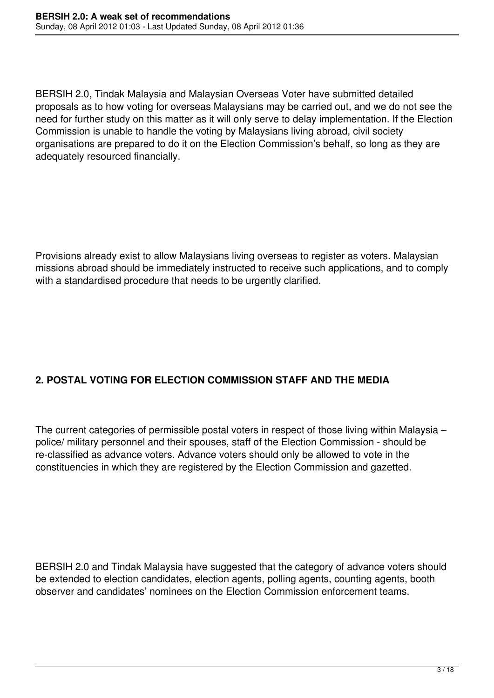BERSIH 2.0, Tindak Malaysia and Malaysian Overseas Voter have submitted detailed proposals as to how voting for overseas Malaysians may be carried out, and we do not see the need for further study on this matter as it will only serve to delay implementation. If the Election Commission is unable to handle the voting by Malaysians living abroad, civil society organisations are prepared to do it on the Election Commission's behalf, so long as they are adequately resourced financially.

Provisions already exist to allow Malaysians living overseas to register as voters. Malaysian missions abroad should be immediately instructed to receive such applications, and to comply with a standardised procedure that needs to be urgently clarified.

# **2. POSTAL VOTING FOR ELECTION COMMISSION STAFF AND THE MEDIA**

The current categories of permissible postal voters in respect of those living within Malaysia – police/ military personnel and their spouses, staff of the Election Commission - should be re-classified as advance voters. Advance voters should only be allowed to vote in the constituencies in which they are registered by the Election Commission and gazetted.

BERSIH 2.0 and Tindak Malaysia have suggested that the category of advance voters should be extended to election candidates, election agents, polling agents, counting agents, booth observer and candidates' nominees on the Election Commission enforcement teams.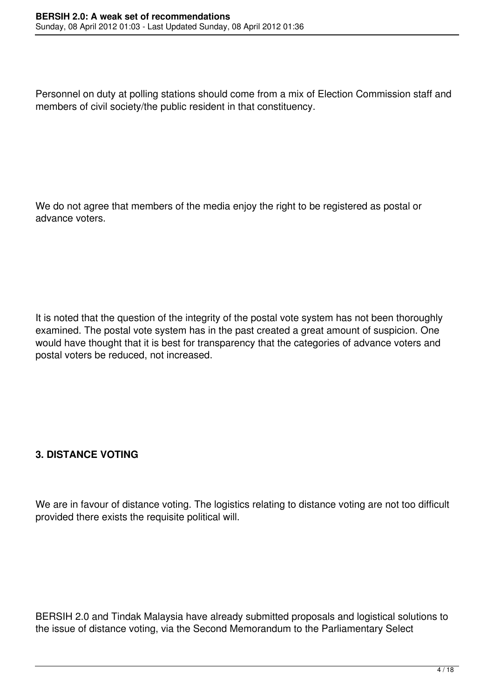Personnel on duty at polling stations should come from a mix of Election Commission staff and members of civil society/the public resident in that constituency.

We do not agree that members of the media enjoy the right to be registered as postal or advance voters.

It is noted that the question of the integrity of the postal vote system has not been thoroughly examined. The postal vote system has in the past created a great amount of suspicion. One would have thought that it is best for transparency that the categories of advance voters and postal voters be reduced, not increased.

## **3. DISTANCE VOTING**

We are in favour of distance voting. The logistics relating to distance voting are not too difficult provided there exists the requisite political will.

BERSIH 2.0 and Tindak Malaysia have already submitted proposals and logistical solutions to the issue of distance voting, via the Second Memorandum to the Parliamentary Select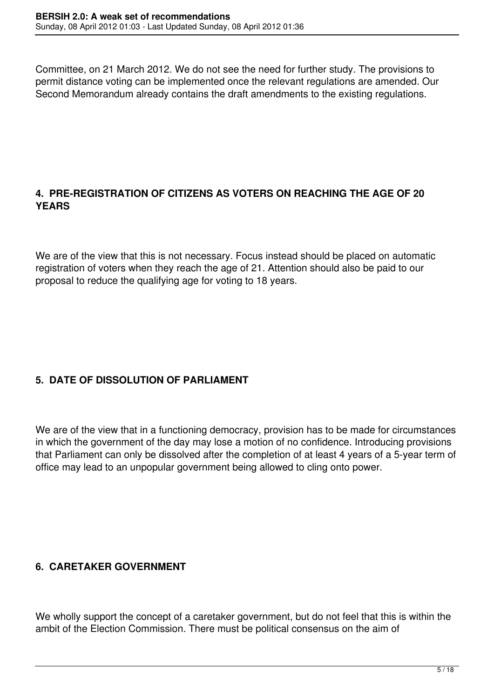Committee, on 21 March 2012. We do not see the need for further study. The provisions to permit distance voting can be implemented once the relevant regulations are amended. Our Second Memorandum already contains the draft amendments to the existing regulations.

## **4. PRE-REGISTRATION OF CITIZENS AS VOTERS ON REACHING THE AGE OF 20 YEARS**

We are of the view that this is not necessary. Focus instead should be placed on automatic registration of voters when they reach the age of 21. Attention should also be paid to our proposal to reduce the qualifying age for voting to 18 years.

# **5. DATE OF DISSOLUTION OF PARLIAMENT**

We are of the view that in a functioning democracy, provision has to be made for circumstances in which the government of the day may lose a motion of no confidence. Introducing provisions that Parliament can only be dissolved after the completion of at least 4 years of a 5-year term of office may lead to an unpopular government being allowed to cling onto power.

## **6. CARETAKER GOVERNMENT**

We wholly support the concept of a caretaker government, but do not feel that this is within the ambit of the Election Commission. There must be political consensus on the aim of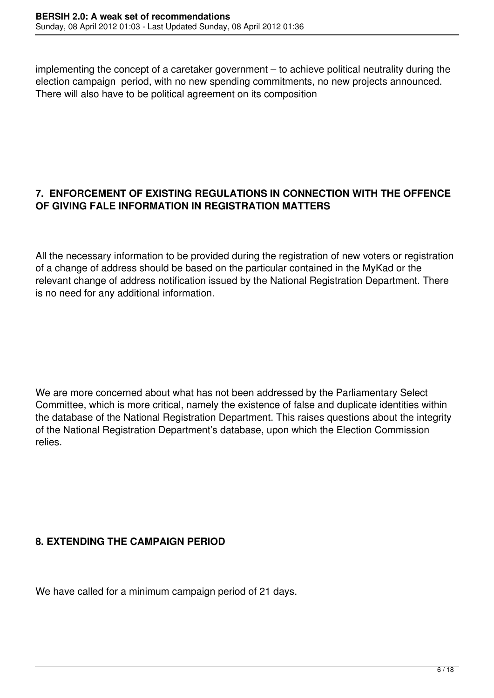implementing the concept of a caretaker government – to achieve political neutrality during the election campaign period, with no new spending commitments, no new projects announced. There will also have to be political agreement on its composition

## **7. ENFORCEMENT OF EXISTING REGULATIONS IN CONNECTION WITH THE OFFENCE OF GIVING FALE INFORMATION IN REGISTRATION MATTERS**

All the necessary information to be provided during the registration of new voters or registration of a change of address should be based on the particular contained in the MyKad or the relevant change of address notification issued by the National Registration Department. There is no need for any additional information.

We are more concerned about what has not been addressed by the Parliamentary Select Committee, which is more critical, namely the existence of false and duplicate identities within the database of the National Registration Department. This raises questions about the integrity of the National Registration Department's database, upon which the Election Commission relies.

# **8. EXTENDING THE CAMPAIGN PERIOD**

We have called for a minimum campaign period of 21 days.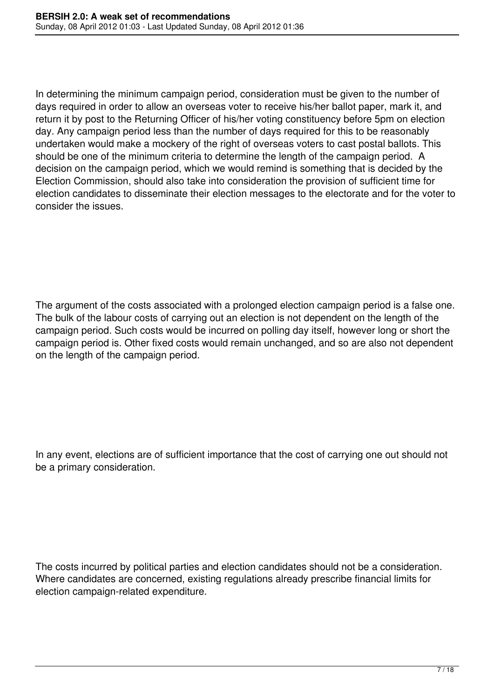In determining the minimum campaign period, consideration must be given to the number of days required in order to allow an overseas voter to receive his/her ballot paper, mark it, and return it by post to the Returning Officer of his/her voting constituency before 5pm on election day. Any campaign period less than the number of days required for this to be reasonably undertaken would make a mockery of the right of overseas voters to cast postal ballots. This should be one of the minimum criteria to determine the length of the campaign period. A decision on the campaign period, which we would remind is something that is decided by the Election Commission, should also take into consideration the provision of sufficient time for election candidates to disseminate their election messages to the electorate and for the voter to consider the issues.

The argument of the costs associated with a prolonged election campaign period is a false one. The bulk of the labour costs of carrying out an election is not dependent on the length of the campaign period. Such costs would be incurred on polling day itself, however long or short the campaign period is. Other fixed costs would remain unchanged, and so are also not dependent on the length of the campaign period.

In any event, elections are of sufficient importance that the cost of carrying one out should not be a primary consideration.

The costs incurred by political parties and election candidates should not be a consideration. Where candidates are concerned, existing regulations already prescribe financial limits for election campaign-related expenditure.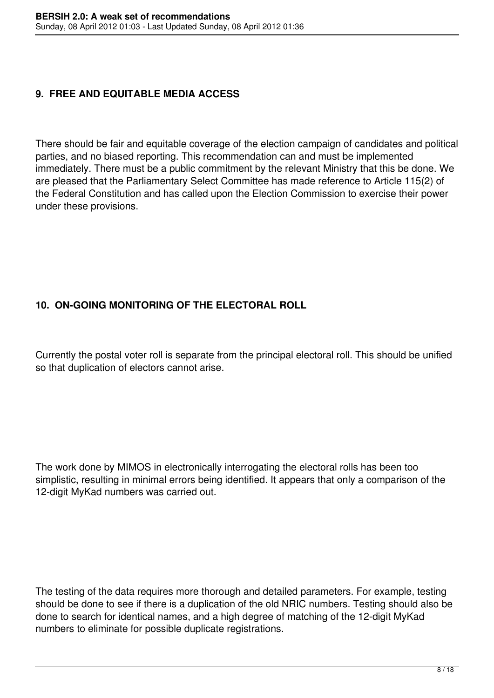### **9. FREE AND EQUITABLE MEDIA ACCESS**

There should be fair and equitable coverage of the election campaign of candidates and political parties, and no biased reporting. This recommendation can and must be implemented immediately. There must be a public commitment by the relevant Ministry that this be done. We are pleased that the Parliamentary Select Committee has made reference to Article 115(2) of the Federal Constitution and has called upon the Election Commission to exercise their power under these provisions.

# **10. ON-GOING MONITORING OF THE ELECTORAL ROLL**

Currently the postal voter roll is separate from the principal electoral roll. This should be unified so that duplication of electors cannot arise.

The work done by MIMOS in electronically interrogating the electoral rolls has been too simplistic, resulting in minimal errors being identified. It appears that only a comparison of the 12-digit MyKad numbers was carried out.

The testing of the data requires more thorough and detailed parameters. For example, testing should be done to see if there is a duplication of the old NRIC numbers. Testing should also be done to search for identical names, and a high degree of matching of the 12-digit MyKad numbers to eliminate for possible duplicate registrations.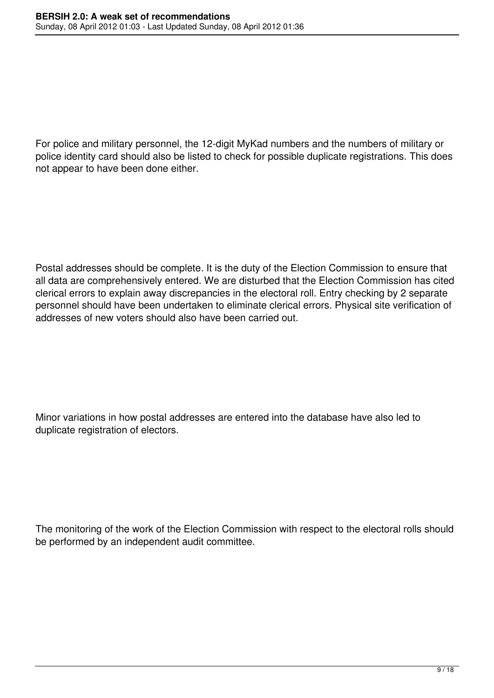For police and military personnel, the 12-digit MyKad numbers and the numbers of military or police identity card should also be listed to check for possible duplicate registrations. This does not appear to have been done either.

Postal addresses should be complete. It is the duty of the Election Commission to ensure that all data are comprehensively entered. We are disturbed that the Election Commission has cited clerical errors to explain away discrepancies in the electoral roll. Entry checking by 2 separate personnel should have been undertaken to eliminate clerical errors. Physical site verification of addresses of new voters should also have been carried out.

Minor variations in how postal addresses are entered into the database have also led to duplicate registration of electors.

The monitoring of the work of the Election Commission with respect to the electoral rolls should be performed by an independent audit committee.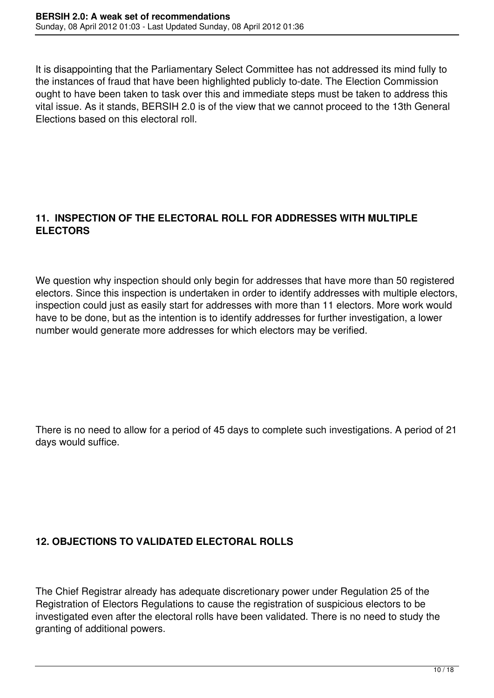It is disappointing that the Parliamentary Select Committee has not addressed its mind fully to the instances of fraud that have been highlighted publicly to-date. The Election Commission ought to have been taken to task over this and immediate steps must be taken to address this vital issue. As it stands, BERSIH 2.0 is of the view that we cannot proceed to the 13th General Elections based on this electoral roll.

### **11. INSPECTION OF THE ELECTORAL ROLL FOR ADDRESSES WITH MULTIPLE ELECTORS**

We question why inspection should only begin for addresses that have more than 50 registered electors. Since this inspection is undertaken in order to identify addresses with multiple electors, inspection could just as easily start for addresses with more than 11 electors. More work would have to be done, but as the intention is to identify addresses for further investigation, a lower number would generate more addresses for which electors may be verified.

There is no need to allow for a period of 45 days to complete such investigations. A period of 21 days would suffice.

# **12. OBJECTIONS TO VALIDATED ELECTORAL ROLLS**

The Chief Registrar already has adequate discretionary power under Regulation 25 of the Registration of Electors Regulations to cause the registration of suspicious electors to be investigated even after the electoral rolls have been validated. There is no need to study the granting of additional powers.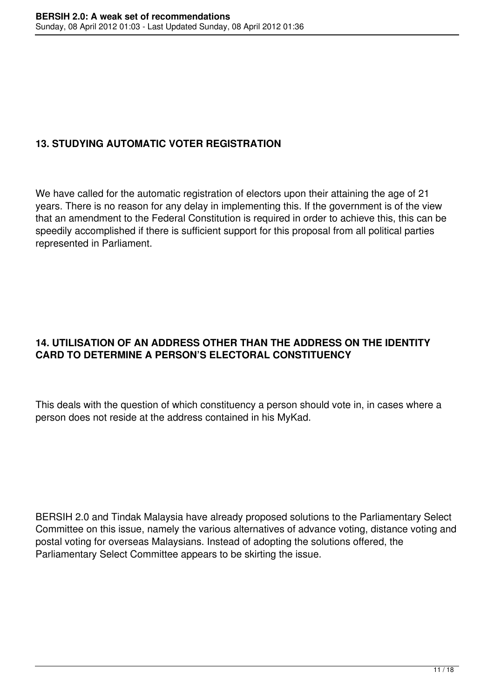# **13. STUDYING AUTOMATIC VOTER REGISTRATION**

We have called for the automatic registration of electors upon their attaining the age of 21 years. There is no reason for any delay in implementing this. If the government is of the view that an amendment to the Federal Constitution is required in order to achieve this, this can be speedily accomplished if there is sufficient support for this proposal from all political parties represented in Parliament.

# **14. UTILISATION OF AN ADDRESS OTHER THAN THE ADDRESS ON THE IDENTITY CARD TO DETERMINE A PERSON'S ELECTORAL CONSTITUENCY**

This deals with the question of which constituency a person should vote in, in cases where a person does not reside at the address contained in his MyKad.

BERSIH 2.0 and Tindak Malaysia have already proposed solutions to the Parliamentary Select Committee on this issue, namely the various alternatives of advance voting, distance voting and postal voting for overseas Malaysians. Instead of adopting the solutions offered, the Parliamentary Select Committee appears to be skirting the issue.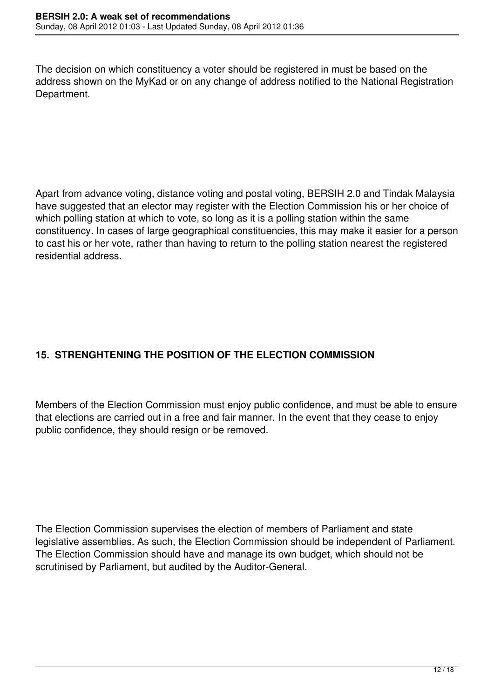The decision on which constituency a voter should be registered in must be based on the address shown on the MyKad or on any change of address notified to the National Registration Department.

Apart from advance voting, distance voting and postal voting, BERSIH 2.0 and Tindak Malaysia have suggested that an elector may register with the Election Commission his or her choice of which polling station at which to vote, so long as it is a polling station within the same constituency. In cases of large geographical constituencies, this may make it easier for a person to cast his or her vote, rather than having to return to the polling station nearest the registered residential address.

# **15. STRENGHTENING THE POSITION OF THE ELECTION COMMISSION**

Members of the Election Commission must enjoy public confidence, and must be able to ensure that elections are carried out in a free and fair manner. In the event that they cease to enjoy public confidence, they should resign or be removed.

The Election Commission supervises the election of members of Parliament and state legislative assemblies. As such, the Election Commission should be independent of Parliament. The Election Commission should have and manage its own budget, which should not be scrutinised by Parliament, but audited by the Auditor-General.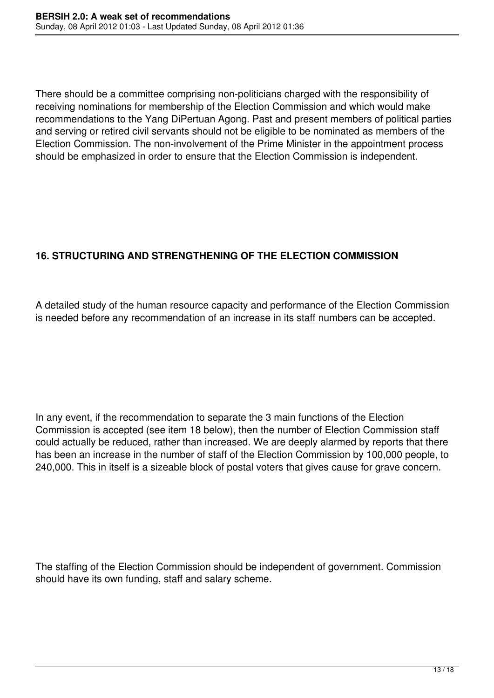There should be a committee comprising non-politicians charged with the responsibility of receiving nominations for membership of the Election Commission and which would make recommendations to the Yang DiPertuan Agong. Past and present members of political parties and serving or retired civil servants should not be eligible to be nominated as members of the Election Commission. The non-involvement of the Prime Minister in the appointment process should be emphasized in order to ensure that the Election Commission is independent.

# **16. STRUCTURING AND STRENGTHENING OF THE ELECTION COMMISSION**

A detailed study of the human resource capacity and performance of the Election Commission is needed before any recommendation of an increase in its staff numbers can be accepted.

In any event, if the recommendation to separate the 3 main functions of the Election Commission is accepted (see item 18 below), then the number of Election Commission staff could actually be reduced, rather than increased. We are deeply alarmed by reports that there has been an increase in the number of staff of the Election Commission by 100,000 people, to 240,000. This in itself is a sizeable block of postal voters that gives cause for grave concern.

The staffing of the Election Commission should be independent of government. Commission should have its own funding, staff and salary scheme.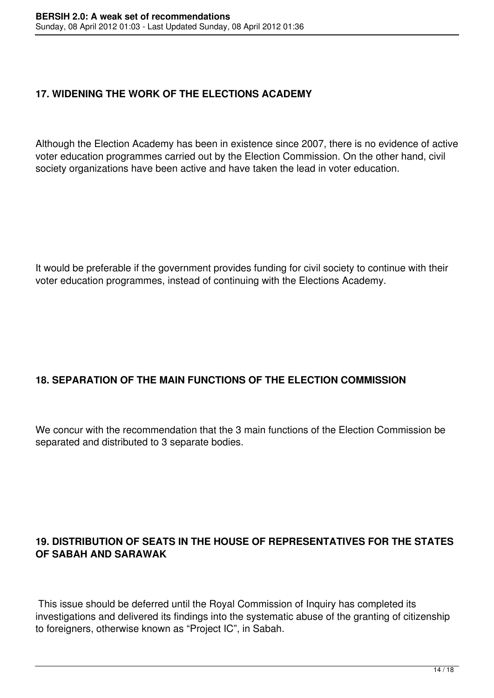# **17. WIDENING THE WORK OF THE ELECTIONS ACADEMY**

Although the Election Academy has been in existence since 2007, there is no evidence of active voter education programmes carried out by the Election Commission. On the other hand, civil society organizations have been active and have taken the lead in voter education.

It would be preferable if the government provides funding for civil society to continue with their voter education programmes, instead of continuing with the Elections Academy.

## **18. SEPARATION OF THE MAIN FUNCTIONS OF THE ELECTION COMMISSION**

We concur with the recommendation that the 3 main functions of the Election Commission be separated and distributed to 3 separate bodies.

## **19. DISTRIBUTION OF SEATS IN THE HOUSE OF REPRESENTATIVES FOR THE STATES OF SABAH AND SARAWAK**

 This issue should be deferred until the Royal Commission of Inquiry has completed its investigations and delivered its findings into the systematic abuse of the granting of citizenship to foreigners, otherwise known as "Project IC", in Sabah.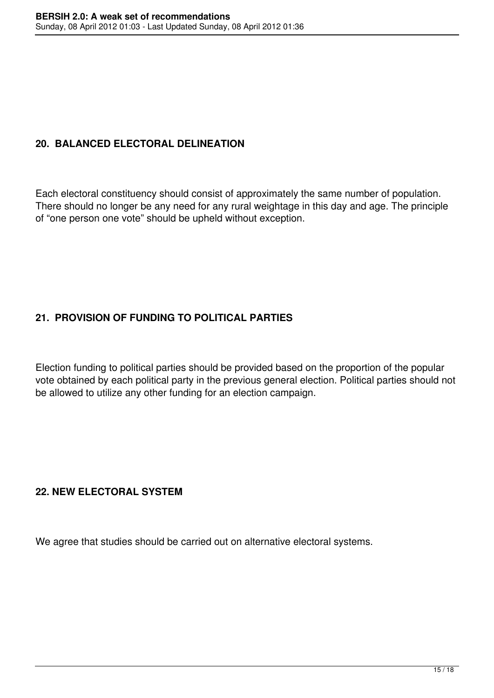## **20. BALANCED ELECTORAL DELINEATION**

Each electoral constituency should consist of approximately the same number of population. There should no longer be any need for any rural weightage in this day and age. The principle of "one person one vote" should be upheld without exception.

# **21. PROVISION OF FUNDING TO POLITICAL PARTIES**

Election funding to political parties should be provided based on the proportion of the popular vote obtained by each political party in the previous general election. Political parties should not be allowed to utilize any other funding for an election campaign.

#### **22. NEW ELECTORAL SYSTEM**

We agree that studies should be carried out on alternative electoral systems.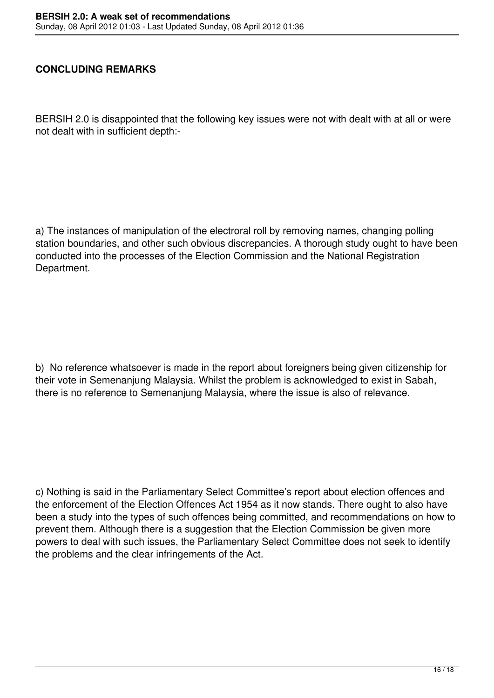#### **CONCLUDING REMARKS**

BERSIH 2.0 is disappointed that the following key issues were not with dealt with at all or were not dealt with in sufficient depth:-

a) The instances of manipulation of the electroral roll by removing names, changing polling station boundaries, and other such obvious discrepancies. A thorough study ought to have been conducted into the processes of the Election Commission and the National Registration Department.

b) No reference whatsoever is made in the report about foreigners being given citizenship for their vote in Semenanjung Malaysia. Whilst the problem is acknowledged to exist in Sabah, there is no reference to Semenanjung Malaysia, where the issue is also of relevance.

c) Nothing is said in the Parliamentary Select Committee's report about election offences and the enforcement of the Election Offences Act 1954 as it now stands. There ought to also have been a study into the types of such offences being committed, and recommendations on how to prevent them. Although there is a suggestion that the Election Commission be given more powers to deal with such issues, the Parliamentary Select Committee does not seek to identify the problems and the clear infringements of the Act.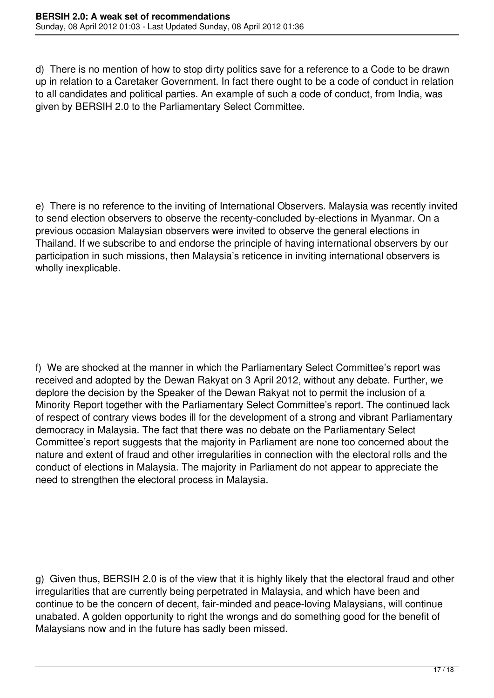d) There is no mention of how to stop dirty politics save for a reference to a Code to be drawn up in relation to a Caretaker Government. In fact there ought to be a code of conduct in relation to all candidates and political parties. An example of such a code of conduct, from India, was given by BERSIH 2.0 to the Parliamentary Select Committee.

e) There is no reference to the inviting of International Observers. Malaysia was recently invited to send election observers to observe the recenty-concluded by-elections in Myanmar. On a previous occasion Malaysian observers were invited to observe the general elections in Thailand. If we subscribe to and endorse the principle of having international observers by our participation in such missions, then Malaysia's reticence in inviting international observers is wholly inexplicable.

f) We are shocked at the manner in which the Parliamentary Select Committee's report was received and adopted by the Dewan Rakyat on 3 April 2012, without any debate. Further, we deplore the decision by the Speaker of the Dewan Rakyat not to permit the inclusion of a Minority Report together with the Parliamentary Select Committee's report. The continued lack of respect of contrary views bodes ill for the development of a strong and vibrant Parliamentary democracy in Malaysia. The fact that there was no debate on the Parliamentary Select Committee's report suggests that the majority in Parliament are none too concerned about the nature and extent of fraud and other irregularities in connection with the electoral rolls and the conduct of elections in Malaysia. The majority in Parliament do not appear to appreciate the need to strengthen the electoral process in Malaysia.

g) Given thus, BERSIH 2.0 is of the view that it is highly likely that the electoral fraud and other irregularities that are currently being perpetrated in Malaysia, and which have been and continue to be the concern of decent, fair-minded and peace-loving Malaysians, will continue unabated. A golden opportunity to right the wrongs and do something good for the benefit of Malaysians now and in the future has sadly been missed.